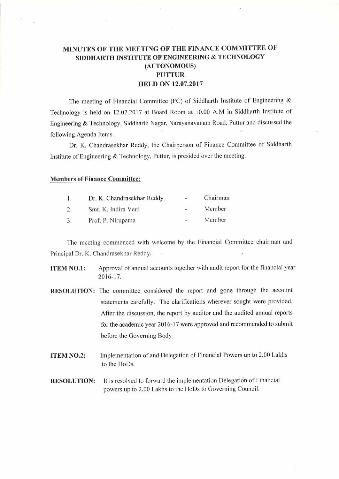## MINUTES OF THE MEETING OF THE FINANCE COMMITTEE OF SIDDHARTH INSTITUTE OF ENGINEERING & TECHNOLOGY (AUTONOMOUS) **PUTTUR** HELD ON 12.07.2017

The meeting of Financial Committee (FC) of Siddharth Institute of Engineering  $\&$ Technology is held on 12.07.2017 at Board Room at 10.00 A.M in Siddharth Institute of Engineering & Technology, Siddharth Nagar, Narayanavanam Road, Puttur and discussed the following Agenda Items.

Dr. K. Chandrasekhar Reddy, the Chairperson of Finance Committee of Siddharth Institute of Engineering & Technology, Puttur, is presided over the meeting.

## Members of Finance Committee:

| $\mathbf{1}$ | Dr. K. Chandrasekhar Reddy | $\sim$ | Chairman |
|--------------|----------------------------|--------|----------|
| 2.           | Smt. K. Indira Veni        |        | Member   |
| 3.           | Prof. P. Nirupama          | $\sim$ | Member   |

Thc mccting commcnced with welcome by the Financial Committee chairman and Principal Dr. K. Chandrasekhar Reddy.

- **ITEM NO.1:** Approval of annual accounts together with audit report for the financial year 2016-17.
- RESOLUTION: The committee considered the report and gone through the account statements carefully. The clarifications wherever sought were provided. After the discussion, the report by auditor and the audited annual reports for the academic year 2016-17 were approved and recommended to submit before the Governing Body
- **ITEM NO.2:** Implementation of and Delegation of Financial Powers up to 2.00 Lakhs to the HoDs.
- RESOLUTION: It is resolved to forward the implementation Delegation of Financial powers up to 2.00 Lakhs to the HoDs to Governing Council.